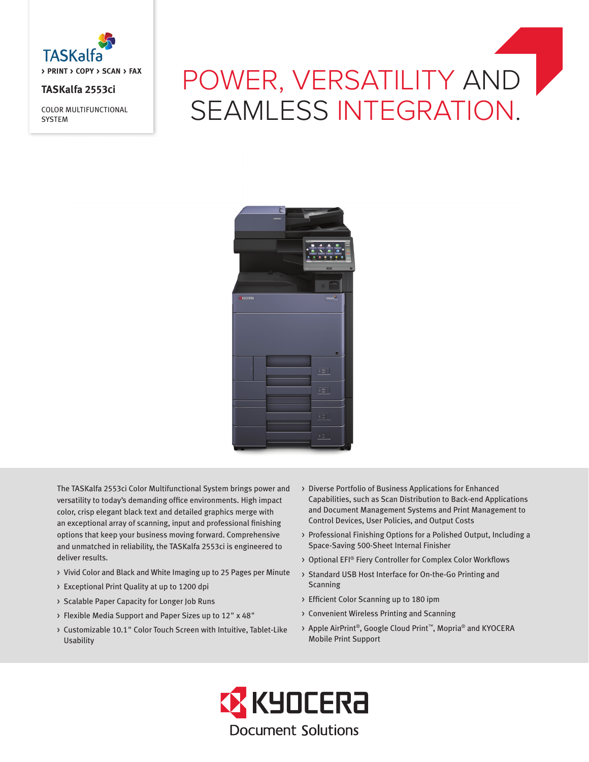

## **TASKalfa 2553ci**

COLOR MULTIFUNCTIONAL **SYSTEM** 

# POWER, VERSATILITY AND SEAMLESS INTEGRATION.



The TASKalfa 2553ci Color Multifunctional System brings power and versatility to today's demanding office environments. High impact color, crisp elegant black text and detailed graphics merge with an exceptional array of scanning, input and professional finishing options that keep your business moving forward. Comprehensive and unmatched in reliability, the TASKalfa 2553ci is engineered to deliver results.

- > Vivid Color and Black and White Imaging up to 25 Pages per Minute
- > Exceptional Print Quality at up to 1200 dpi
- > Scalable Paper Capacity for Longer Job Runs
- > Flexible Media Support and Paper Sizes up to 12" x 48"
- > Customizable 10.1" Color Touch Screen with Intuitive, Tablet-Like Usability
- > Diverse Portfolio of Business Applications for Enhanced Capabilities, such as Scan Distribution to Back-end Applications and Document Management Systems and Print Management to Control Devices, User Policies, and Output Costs
- > Professional Finishing Options for a Polished Output, Including a Space-Saving 500-Sheet Internal Finisher
- > Optional EFI® Fiery Controller for Complex Color Workflows
- > Standard USB Host Interface for On-the-Go Printing and Scanning
- > Efficient Color Scanning up to 180 ipm
- > Convenient Wireless Printing and Scanning
- > Apple AirPrint®, Google Cloud Print™, Mopria® and KYOCERA Mobile Print Support